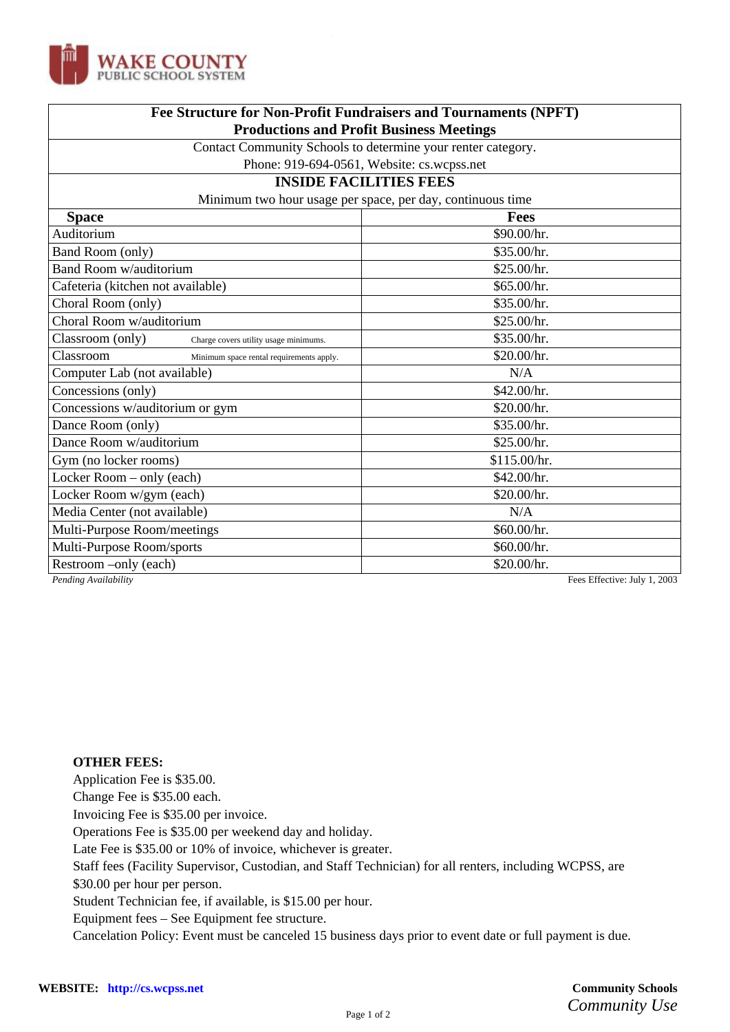

| Fee Structure for Non-Profit Fundraisers and Tournaments (NPFT)<br><b>Productions and Profit Business Meetings</b> |                                            |
|--------------------------------------------------------------------------------------------------------------------|--------------------------------------------|
|                                                                                                                    |                                            |
|                                                                                                                    | Phone: 919-694-0561, Website: cs.wcpss.net |
| <b>INSIDE FACILITIES FEES</b><br>Minimum two hour usage per space, per day, continuous time                        |                                            |
|                                                                                                                    |                                            |
| Auditorium                                                                                                         | \$90.00/hr.                                |
| Band Room (only)                                                                                                   | \$35.00/hr.                                |
| Band Room w/auditorium                                                                                             | \$25.00/hr.                                |
| Cafeteria (kitchen not available)                                                                                  | \$65.00/hr.                                |
| Choral Room (only)                                                                                                 | \$35.00/hr.                                |
| Choral Room w/auditorium                                                                                           | \$25.00/hr.                                |
| Classroom (only)<br>Charge covers utility usage minimums.                                                          | \$35.00/hr.                                |
| Classroom<br>Minimum space rental requirements apply.                                                              | \$20.00/hr.                                |
| Computer Lab (not available)                                                                                       | N/A                                        |
| Concessions (only)                                                                                                 | \$42.00/hr.                                |
| Concessions w/auditorium or gym                                                                                    | \$20.00/hr.                                |
| Dance Room (only)                                                                                                  | \$35.00/hr.                                |
| Dance Room w/auditorium                                                                                            | \$25.00/hr.                                |
| Gym (no locker rooms)                                                                                              | \$115.00/hr.                               |
| Locker Room – only (each)                                                                                          | \$42.00/hr.                                |
| Locker Room w/gym (each)                                                                                           | \$20.00/hr.                                |
| Media Center (not available)                                                                                       | N/A                                        |
| Multi-Purpose Room/meetings                                                                                        | \$60.00/hr.                                |
| Multi-Purpose Room/sports                                                                                          | \$60.00/hr.                                |
| Restroom –only (each)                                                                                              | \$20.00/hr.                                |
|                                                                                                                    |                                            |

*Pending Availability* Fees Effective: July 1, 2003

## **OTHER FEES:**

Application Fee is \$35.00.

Change Fee is \$35.00 each.

Invoicing Fee is \$35.00 per invoice.

Operations Fee is \$35.00 per weekend day and holiday.

Late Fee is \$35.00 or 10% of invoice, whichever is greater.

Staff fees (Facility Supervisor, Custodian, and Staff Technician) for all renters, including WCPSS, are

\$30.00 per hour per person.

Student Technician fee, if available, is \$15.00 per hour.

Equipment fees – See Equipment fee structure.

Cancelation Policy: Event must be canceled 15 business days prior to event date or full payment is due.